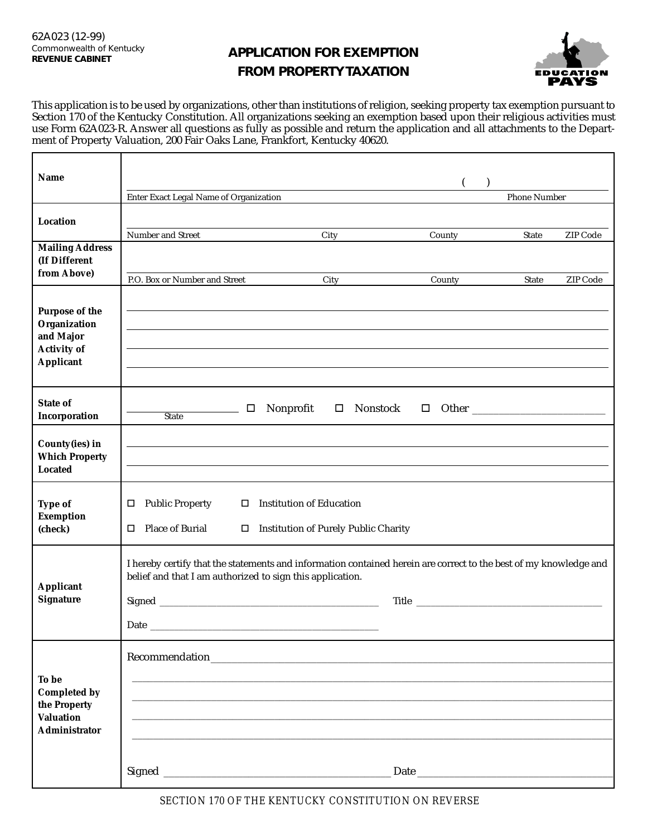$\mathsf{r}$ 

## **REVENUE CABINET APPLICATION FOR EXEMPTION FROM PROPERTY TAXATION**



This application is to be used by organizations, other than institutions of religion, seeking property tax exemption pursuant to Section 170 of the Kentucky Constitution. All organizations seeking an exemption based upon their religious activities must use Form 62A023-R. Answer all questions as fully as possible and return the application and all attachments to the Department of Property Valuation, 200 Fair Oaks Lane, Frankfort, Kentucky 40620.

| Name                                                                                         |                                                                                                                                                                                |                                                                           |                     |       |          |
|----------------------------------------------------------------------------------------------|--------------------------------------------------------------------------------------------------------------------------------------------------------------------------------|---------------------------------------------------------------------------|---------------------|-------|----------|
|                                                                                              | Enter Exact Legal Name of Organization                                                                                                                                         |                                                                           | <b>Phone Number</b> |       |          |
| Location                                                                                     |                                                                                                                                                                                |                                                                           |                     |       |          |
|                                                                                              | Number and Street                                                                                                                                                              | City                                                                      | County              | State | ZIP Code |
| <b>Mailing Address</b><br>(If Different<br>from Above)                                       |                                                                                                                                                                                |                                                                           |                     |       |          |
|                                                                                              | P.O. Box or Number and Street                                                                                                                                                  | City                                                                      | County              | State | ZIP Code |
| <b>Purpose of the</b><br>Organization<br>and Major<br><b>Activity of</b><br><b>Applicant</b> |                                                                                                                                                                                |                                                                           |                     |       |          |
| <b>State of</b><br>Incorporation                                                             | $\Box$<br><b>State</b>                                                                                                                                                         | Nonprofit<br>Nonstock<br>$\Box$                                           |                     |       |          |
| County(ies) in<br><b>Which Property</b><br><b>Located</b>                                    |                                                                                                                                                                                |                                                                           |                     |       |          |
| Type of<br><b>Exemption</b><br>(check)                                                       | $\Box$ Public Property<br><b>Place of Burial</b><br>П.                                                                                                                         | $\Box$ Institution of Education<br>□ Institution of Purely Public Charity |                     |       |          |
| <b>Applicant</b><br><b>Signature</b>                                                         | I hereby certify that the statements and information contained herein are correct to the best of my knowledge and<br>belief and that I am authorized to sign this application. |                                                                           |                     |       |          |
| To be<br><b>Completed by</b><br>the Property<br><b>Valuation</b><br><b>Administrator</b>     | Recommendation                                                                                                                                                                 |                                                                           |                     |       |          |
|                                                                                              |                                                                                                                                                                                |                                                                           |                     |       |          |

*SECTION 170 OF THE KENTUCKY CONSTITUTION ON REVERSE*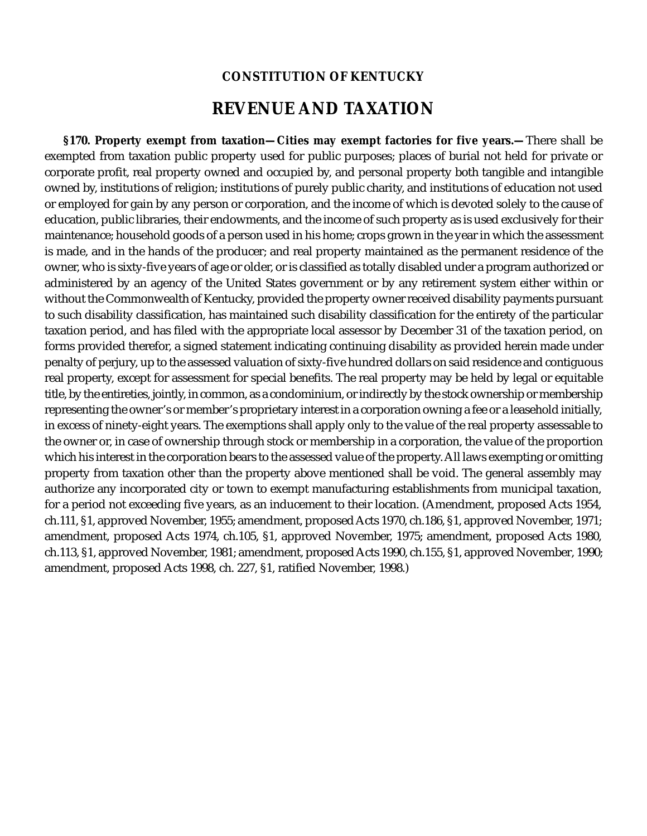## **CONSTITUTION OF KENTUCKY**

## **REVENUE AND TAXATION**

**§170. Property exempt from taxation—Cities may exempt factories for five years.—**There shall be exempted from taxation public property used for public purposes; places of burial not held for private or corporate profit, real property owned and occupied by, and personal property both tangible and intangible owned by, institutions of religion; institutions of purely public charity, and institutions of education not used or employed for gain by any person or corporation, and the income of which is devoted solely to the cause of education, public libraries, their endowments, and the income of such property as is used exclusively for their maintenance; household goods of a person used in his home; crops grown in the year in which the assessment is made, and in the hands of the producer; and real property maintained as the permanent residence of the owner, who is sixty-five years of age or older, or is classified as totally disabled under a program authorized or administered by an agency of the United States government or by any retirement system either within or without the Commonwealth of Kentucky, provided the property owner received disability payments pursuant to such disability classification, has maintained such disability classification for the entirety of the particular taxation period, and has filed with the appropriate local assessor by December 31 of the taxation period, on forms provided therefor, a signed statement indicating continuing disability as provided herein made under penalty of perjury, up to the assessed valuation of sixty-five hundred dollars on said residence and contiguous real property, except for assessment for special benefits. The real property may be held by legal or equitable title, by the entireties, jointly, in common, as a condominium, or indirectly by the stock ownership or membership representing the owner's or member's proprietary interest in a corporation owning a fee or a leasehold initially, in excess of ninety-eight years. The exemptions shall apply only to the value of the real property assessable to the owner or, in case of ownership through stock or membership in a corporation, the value of the proportion which his interest in the corporation bears to the assessed value of the property. All laws exempting or omitting property from taxation other than the property above mentioned shall be void. The general assembly may authorize any incorporated city or town to exempt manufacturing establishments from municipal taxation, for a period not exceeding five years, as an inducement to their location. (Amendment, proposed Acts 1954, ch.111, §1, approved November, 1955; amendment, proposed Acts 1970, ch.186, §1, approved November, 1971; amendment, proposed Acts 1974, ch.105, §1, approved November, 1975; amendment, proposed Acts 1980, ch.113, §1, approved November, 1981; amendment, proposed Acts 1990, ch.155, §1, approved November, 1990; amendment, proposed Acts 1998, ch. 227, §1, ratified November, 1998.)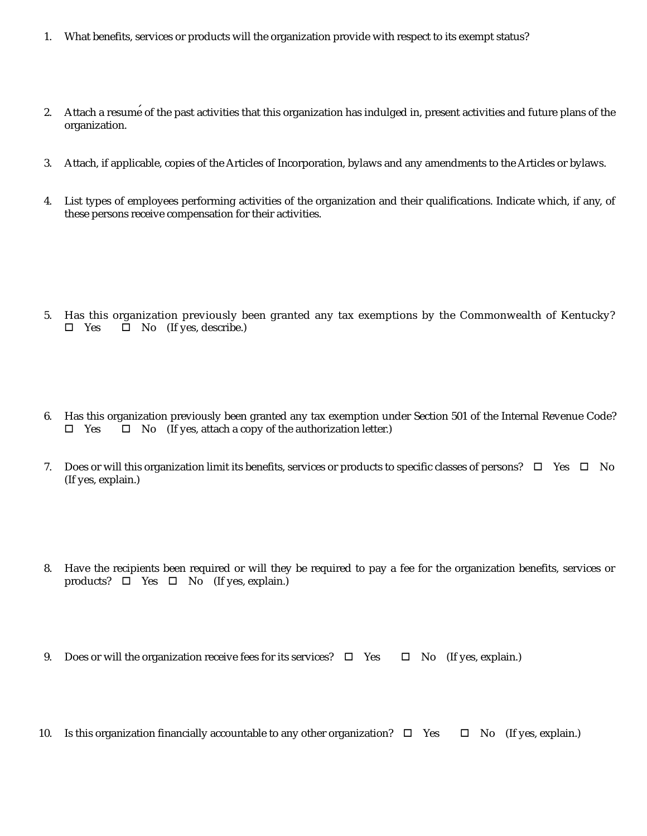- 1. What benefits, services or products will the organization provide with respect to its exempt status?
- 2. Attach a resume of the past activities that this organization has indulged in, present activities and future plans of the organization.
- 3. Attach, if applicable, copies of the Articles of Incorporation, bylaws and any amendments to the Articles or bylaws.
- 4. List types of employees performing activities of the organization and their qualifications. Indicate which, if any, of these persons receive compensation for their activities.

- 5. Has this organization previously been granted any tax exemptions by the Commonwealth of Kentucky?  $\square$  Yes  $\square$  No (If yes, describe.)
- 6. Has this organization previously been granted any tax exemption under Section 501 of the Internal Revenue Code?  $\square$  Yes  $\square$  No (If yes, attach a copy of the authorization letter.)
- 7. Does or will this organization limit its benefits, services or products to specific classes of persons?  $\Box$  Yes  $\Box$  No (If yes, explain.)
- 8. Have the recipients been required or will they be required to pay a fee for the organization benefits, services or products?  $\Box$  Yes  $\Box$  No (If yes, explain.)
- 9. Does or will the organization receive fees for its services?  $\Box$  Yes  $\Box$  No (If yes, explain.)
- 10. Is this organization financially accountable to any other organization?  $\Box$  Yes  $\Box$  No (If yes, explain.)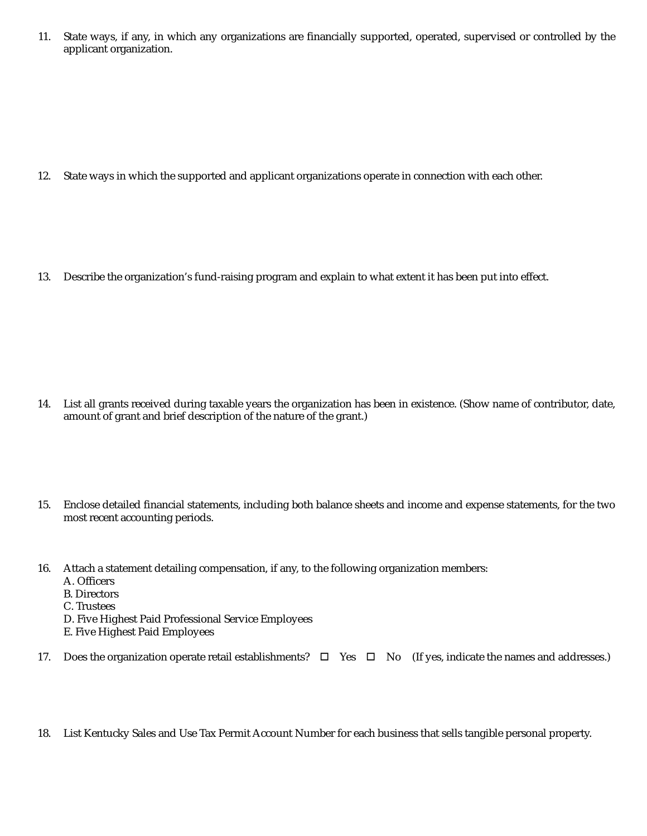11. State ways, if any, in which any organizations are financially supported, operated, supervised or controlled by the applicant organization.

12. State ways in which the supported and applicant organizations operate in connection with each other.

13. Describe the organization's fund-raising program and explain to what extent it has been put into effect.

- 14. List all grants received during taxable years the organization has been in existence. (Show name of contributor, date, amount of grant and brief description of the nature of the grant.)
- 15. Enclose detailed financial statements, including both balance sheets and income and expense statements, for the two most recent accounting periods.
- 16. Attach a statement detailing compensation, if any, to the following organization members: A. Officers
	- B. Directors
	- C. Trustees
	- D. Five Highest Paid Professional Service Employees
	- E. Five Highest Paid Employees
- 17. Does the organization operate retail establishments?  $\Box$  Yes  $\Box$  No (If yes, indicate the names and addresses.)
- 18. List Kentucky Sales and Use Tax Permit Account Number for each business that sells tangible personal property.